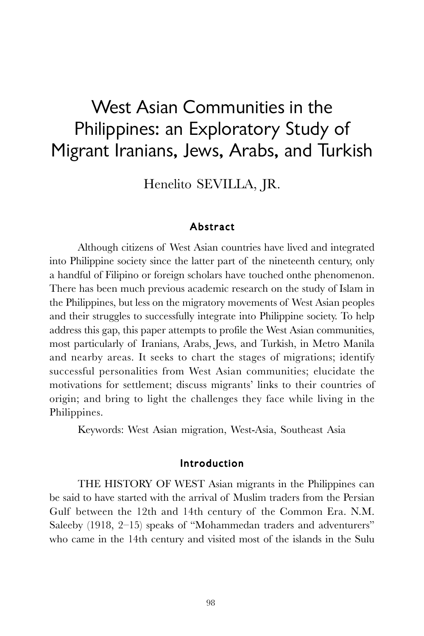# West Asian Communities in the Philippines: an Exploratory Study of Migrant Iranians, Jews, Arabs, and Turkish

Henelito SEVILLA, JR.

#### Abstract

Although citizens of West Asian countries have lived and integrated into Philippine society since the latter part of the nineteenth century, only a handful of Filipino or foreign scholars have touched onthe phenomenon. There has been much previous academic research on the study of Islam in the Philippines, but less on the migratory movements of West Asian peoples and their struggles to successfully integrate into Philippine society. To help address this gap, this paper attempts to profile the West Asian communities, most particularly of Iranians, Arabs, Jews, and Turkish, in Metro Manila and nearby areas. It seeks to chart the stages of migrations; identify successful personalities from West Asian communities; elucidate the motivations for settlement; discuss migrants' links to their countries of origin; and bring to light the challenges they face while living in the Philippines.

Keywords: West Asian migration, West-Asia, Southeast Asia

#### Introduction

THE HISTORY OF WEST Asian migrants in the Philippines can be said to have started with the arrival of Muslim traders from the Persian Gulf between the 12th and 14th century of the Common Era. N.M. Saleeby (1918, 2–15) speaks of "Mohammedan traders and adventurers" who came in the 14th century and visited most of the islands in the Sulu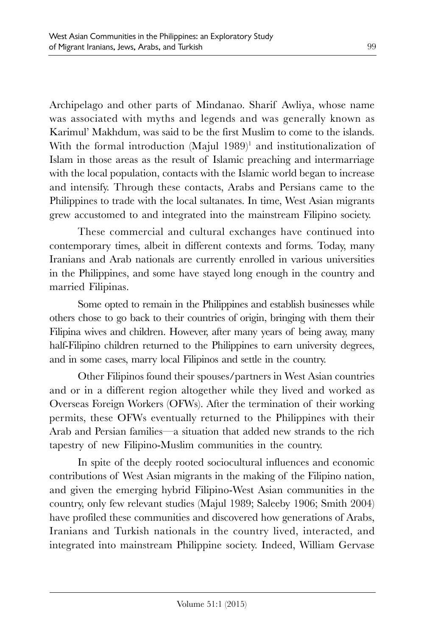Archipelago and other parts of Mindanao. Sharif Awliya, whose name was associated with myths and legends and was generally known as Karimul' Makhdum, was said to be the first Muslim to come to the islands. With the formal introduction (Majul 1989)<sup>1</sup> and institutionalization of Islam in those areas as the result of Islamic preaching and intermarriage with the local population, contacts with the Islamic world began to increase and intensify. Through these contacts, Arabs and Persians came to the Philippines to trade with the local sultanates. In time, West Asian migrants grew accustomed to and integrated into the mainstream Filipino society.

These commercial and cultural exchanges have continued into contemporary times, albeit in different contexts and forms. Today, many Iranians and Arab nationals are currently enrolled in various universities in the Philippines, and some have stayed long enough in the country and married Filipinas.

Some opted to remain in the Philippines and establish businesses while others chose to go back to their countries of origin, bringing with them their Filipina wives and children. However, after many years of being away, many half-Filipino children returned to the Philippines to earn university degrees, and in some cases, marry local Filipinos and settle in the country.

Other Filipinos found their spouses/partners in West Asian countries and or in a different region altogether while they lived and worked as Overseas Foreign Workers (OFWs). After the termination of their working permits, these OFWs eventually returned to the Philippines with their Arab and Persian families—a situation that added new strands to the rich tapestry of new Filipino-Muslim communities in the country.

In spite of the deeply rooted sociocultural influences and economic contributions of West Asian migrants in the making of the Filipino nation, and given the emerging hybrid Filipino-West Asian communities in the country, only few relevant studies (Majul 1989; Saleeby 1906; Smith 2004) have profiled these communities and discovered how generations of Arabs, Iranians and Turkish nationals in the country lived, interacted, and integrated into mainstream Philippine society. Indeed, William Gervase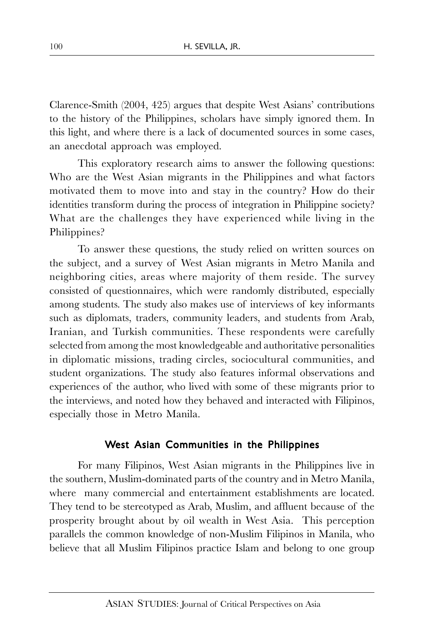Clarence-Smith (2004, 425) argues that despite West Asians' contributions to the history of the Philippines, scholars have simply ignored them. In this light, and where there is a lack of documented sources in some cases, an anecdotal approach was employed.

This exploratory research aims to answer the following questions: Who are the West Asian migrants in the Philippines and what factors motivated them to move into and stay in the country? How do their identities transform during the process of integration in Philippine society? What are the challenges they have experienced while living in the Philippines?

To answer these questions, the study relied on written sources on the subject, and a survey of West Asian migrants in Metro Manila and neighboring cities, areas where majority of them reside. The survey consisted of questionnaires, which were randomly distributed, especially among students. The study also makes use of interviews of key informants such as diplomats, traders, community leaders, and students from Arab, Iranian, and Turkish communities. These respondents were carefully selected from among the most knowledgeable and authoritative personalities in diplomatic missions, trading circles, sociocultural communities, and student organizations. The study also features informal observations and experiences of the author, who lived with some of these migrants prior to the interviews, and noted how they behaved and interacted with Filipinos, especially those in Metro Manila.

### West Asian Communities in the Philippines

For many Filipinos, West Asian migrants in the Philippines live in the southern, Muslim-dominated parts of the country and in Metro Manila, where many commercial and entertainment establishments are located. They tend to be stereotyped as Arab, Muslim, and affluent because of the prosperity brought about by oil wealth in West Asia. This perception parallels the common knowledge of non-Muslim Filipinos in Manila, who believe that all Muslim Filipinos practice Islam and belong to one group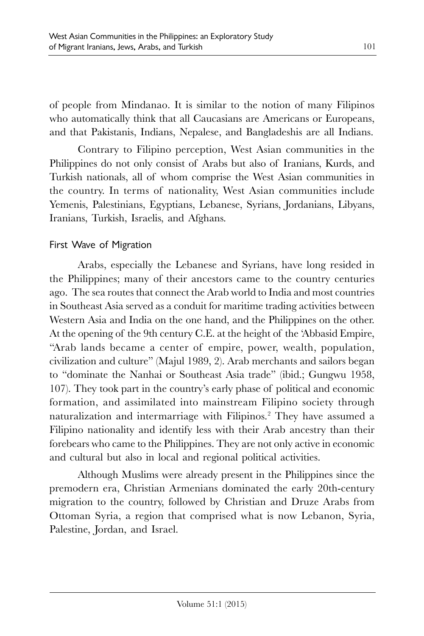of people from Mindanao. It is similar to the notion of many Filipinos who automatically think that all Caucasians are Americans or Europeans, and that Pakistanis, Indians, Nepalese, and Bangladeshis are all Indians.

Contrary to Filipino perception, West Asian communities in the Philippines do not only consist of Arabs but also of Iranians, Kurds, and Turkish nationals, all of whom comprise the West Asian communities in the country. In terms of nationality, West Asian communities include Yemenis, Palestinians, Egyptians, Lebanese, Syrians, Jordanians, Libyans, Iranians, Turkish, Israelis, and Afghans.

## First Wave of Migration

Arabs, especially the Lebanese and Syrians, have long resided in the Philippines; many of their ancestors came to the country centuries ago. The sea routes that connect the Arab world to India and most countries in Southeast Asia served as a conduit for maritime trading activities between Western Asia and India on the one hand, and the Philippines on the other. At the opening of the 9th century C.E. at the height of the 'Abbasid Empire, "Arab lands became a center of empire, power, wealth, population, civilization and culture" (Majul 1989, 2). Arab merchants and sailors began to "dominate the Nanhai or Southeast Asia trade" (ibid.; Gungwu 1958, 107). They took part in the country's early phase of political and economic formation, and assimilated into mainstream Filipino society through naturalization and intermarriage with Filipinos. 2 They have assumed a Filipino nationality and identify less with their Arab ancestry than their forebears who came to the Philippines. They are not only active in economic and cultural but also in local and regional political activities.

Although Muslims were already present in the Philippines since the premodern era, Christian Armenians dominated the early 20th-century migration to the country, followed by Christian and Druze Arabs from Ottoman Syria, a region that comprised what is now Lebanon, Syria, Palestine, Jordan, and Israel.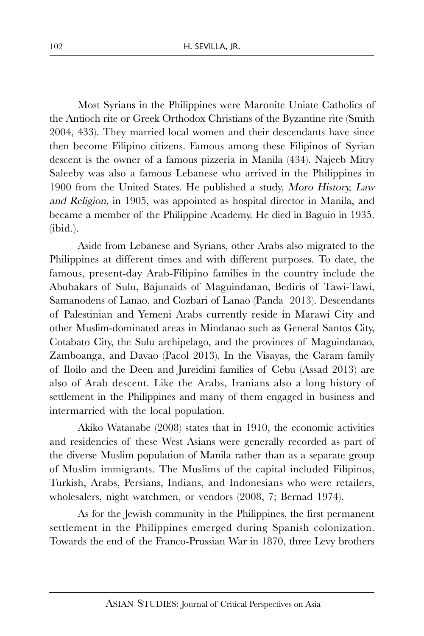Most Syrians in the Philippines were Maronite Uniate Catholics of the Antioch rite or Greek Orthodox Christians of the Byzantine rite (Smith 2004, 433). They married local women and their descendants have since then become Filipino citizens. Famous among these Filipinos of Syrian descent is the owner of a famous pizzeria in Manila (434). Najeeb Mitry Saleeby was also a famous Lebanese who arrived in the Philippines in 1900 from the United States. He published a study, Moro History, Law and Religion, in 1905, was appointed as hospital director in Manila, and became a member of the Philippine Academy. He died in Baguio in 1935. (ibid.).

Aside from Lebanese and Syrians, other Arabs also migrated to the Philippines at different times and with different purposes. To date, the famous, present-day Arab-Filipino families in the country include the Abubakars of Sulu, Bajunaids of Maguindanao, Bediris of Tawi-Tawi, Samanodens of Lanao, and Cozbari of Lanao (Panda 2013). Descendants of Palestinian and Yemeni Arabs currently reside in Marawi City and other Muslim-dominated areas in Mindanao such as General Santos City, Cotabato City, the Sulu archipelago, and the provinces of Maguindanao, Zamboanga, and Davao (Pacol 2013). In the Visayas, the Caram family of Iloilo and the Deen and Jureidini families of Cebu (Assad 2013) are also of Arab descent. Like the Arabs, Iranians also a long history of settlement in the Philippines and many of them engaged in business and intermarried with the local population.

Akiko Watanabe (2008) states that in 1910, the economic activities and residencies of these West Asians were generally recorded as part of the diverse Muslim population of Manila rather than as a separate group of Muslim immigrants. The Muslims of the capital included Filipinos, Turkish, Arabs, Persians, Indians, and Indonesians who were retailers, wholesalers, night watchmen, or vendors (2008, 7; Bernad 1974).

As for the Jewish community in the Philippines, the first permanent settlement in the Philippines emerged during Spanish colonization. Towards the end of the Franco-Prussian War in 1870, three Levy brothers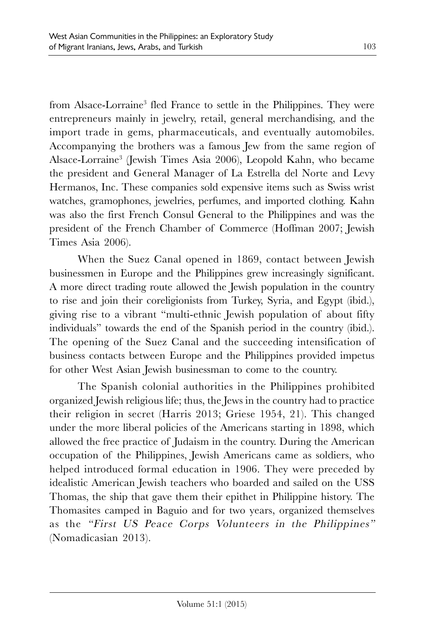from Alsace-Lorraine<sup>3</sup> fled France to settle in the Philippines. They were entrepreneurs mainly in jewelry, retail, general merchandising, and the import trade in gems, pharmaceuticals, and eventually automobiles. Accompanying the brothers was a famous Jew from the same region of Alsace-Lorraine<sup>3</sup> (Jewish Times Asia 2006), Leopold Kahn, who became the president and General Manager of La Estrella del Norte and Levy Hermanos, Inc. These companies sold expensive items such as Swiss wrist watches, gramophones, jewelries, perfumes, and imported clothing. Kahn was also the first French Consul General to the Philippines and was the president of the French Chamber of Commerce (Hoffman 2007; Jewish Times Asia 2006).

When the Suez Canal opened in 1869, contact between Jewish businessmen in Europe and the Philippines grew increasingly significant. A more direct trading route allowed the Jewish population in the country to rise and join their coreligionists from Turkey, Syria, and Egypt (ibid.), giving rise to a vibrant "multi-ethnic Jewish population of about fifty individuals" towards the end of the Spanish period in the country (ibid.). The opening of the Suez Canal and the succeeding intensification of business contacts between Europe and the Philippines provided impetus for other West Asian Jewish businessman to come to the country.

The Spanish colonial authorities in the Philippines prohibited organized Jewish religious life; thus, the Jews in the country had to practice their religion in secret (Harris 2013; Griese 1954, 21). This changed under the more liberal policies of the Americans starting in 1898, which allowed the free practice of Judaism in the country. During the American occupation of the Philippines, Jewish Americans came as soldiers, who helped introduced formal education in 1906. They were preceded by idealistic American Jewish teachers who boarded and sailed on the USS Thomas, the ship that gave them their epithet in Philippine history. The Thomasites camped in Baguio and for two years, organized themselves as the "First US Peace Corps Volunteers in the Philippines" (Nomadicasian 2013).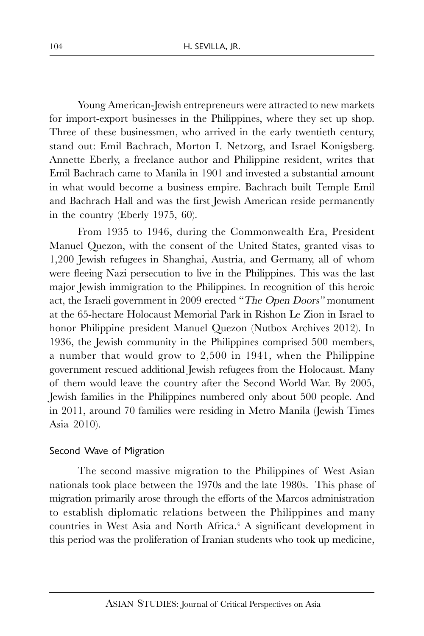Young American-Jewish entrepreneurs were attracted to new markets for import-export businesses in the Philippines, where they set up shop. Three of these businessmen, who arrived in the early twentieth century, stand out: Emil Bachrach, Morton I. Netzorg, and Israel Konigsberg. Annette Eberly, a freelance author and Philippine resident, writes that Emil Bachrach came to Manila in 1901 and invested a substantial amount in what would become a business empire. Bachrach built Temple Emil and Bachrach Hall and was the first Jewish American reside permanently in the country (Eberly 1975, 60).

From 1935 to 1946, during the Commonwealth Era, President Manuel Quezon, with the consent of the United States, granted visas to 1,200 Jewish refugees in Shanghai, Austria, and Germany, all of whom were fleeing Nazi persecution to live in the Philippines. This was the last major Jewish immigration to the Philippines. In recognition of this heroic act, the Israeli government in 2009 erected "The Open Doors" monument at the 65-hectare Holocaust Memorial Park in Rishon Le Zion in Israel to honor Philippine president Manuel Quezon (Nutbox Archives 2012). In 1936, the Jewish community in the Philippines comprised 500 members, a number that would grow to 2,500 in 1941, when the Philippine government rescued additional Jewish refugees from the Holocaust. Many of them would leave the country after the Second World War. By 2005, Jewish families in the Philippines numbered only about 500 people. And in 2011, around 70 families were residing in Metro Manila (Jewish Times Asia 2010).

#### Second Wave of Migration

The second massive migration to the Philippines of West Asian nationals took place between the 1970s and the late 1980s. This phase of migration primarily arose through the efforts of the Marcos administration to establish diplomatic relations between the Philippines and many countries in West Asia and North Africa.<sup>4</sup> A significant development in this period was the proliferation of Iranian students who took up medicine,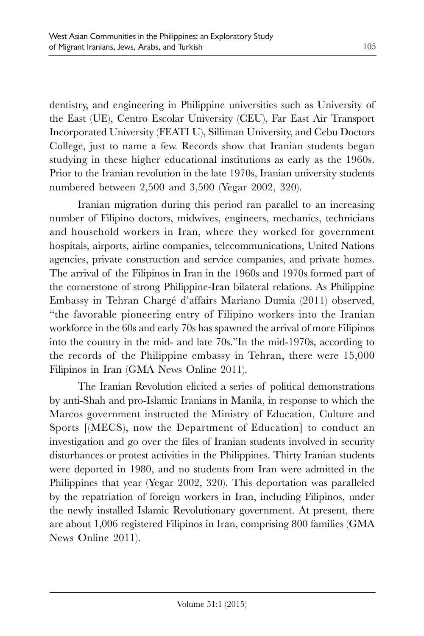dentistry, and engineering in Philippine universities such as University of the East (UE), Centro Escolar University (CEU), Far East Air Transport Incorporated University (FEATI U), Silliman University, and Cebu Doctors College, just to name a few. Records show that Iranian students began studying in these higher educational institutions as early as the 1960s. Prior to the Iranian revolution in the late 1970s, Iranian university students numbered between 2,500 and 3,500 (Yegar 2002, 320).

Iranian migration during this period ran parallel to an increasing number of Filipino doctors, midwives, engineers, mechanics, technicians and household workers in Iran, where they worked for government hospitals, airports, airline companies, telecommunications, United Nations agencies, private construction and service companies, and private homes. The arrival of the Filipinos in Iran in the 1960s and 1970s formed part of the cornerstone of strong Philippine-Iran bilateral relations. As Philippine Embassy in Tehran Chargé d'affairs Mariano Dumia (2011) observed, "the favorable pioneering entry of Filipino workers into the Iranian workforce in the 60s and early 70s has spawned the arrival of more Filipinos into the country in the mid- and late 70s."In the mid-1970s, according to the records of the Philippine embassy in Tehran, there were 15,000 Filipinos in Iran (GMA News Online 2011).

The Iranian Revolution elicited a series of political demonstrations by anti-Shah and pro-Islamic Iranians in Manila, in response to which the Marcos government instructed the Ministry of Education, Culture and Sports [(MECS), now the Department of Education] to conduct an investigation and go over the files of Iranian students involved in security disturbances or protest activities in the Philippines. Thirty Iranian students were deported in 1980, and no students from Iran were admitted in the Philippines that year (Yegar 2002, 320). This deportation was paralleled by the repatriation of foreign workers in Iran, including Filipinos, under the newly installed Islamic Revolutionary government. At present, there are about 1,006 registered Filipinos in Iran, comprising 800 families (GMA News Online 2011).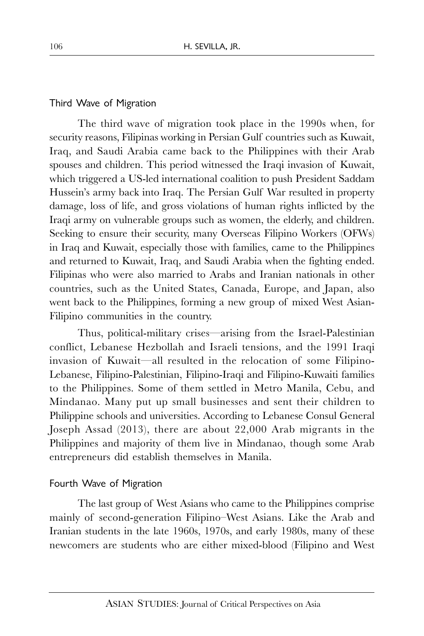#### Third Wave of Migration

The third wave of migration took place in the 1990s when, for security reasons, Filipinas working in Persian Gulf countries such as Kuwait, Iraq, and Saudi Arabia came back to the Philippines with their Arab spouses and children. This period witnessed the Iraqi invasion of Kuwait, which triggered a US-led international coalition to push President Saddam Hussein's army back into Iraq. The Persian Gulf War resulted in property damage, loss of life, and gross violations of human rights inflicted by the Iraqi army on vulnerable groups such as women, the elderly, and children. Seeking to ensure their security, many Overseas Filipino Workers (OFWs) in Iraq and Kuwait, especially those with families, came to the Philippines and returned to Kuwait, Iraq, and Saudi Arabia when the fighting ended. Filipinas who were also married to Arabs and Iranian nationals in other countries, such as the United States, Canada, Europe, and Japan, also went back to the Philippines, forming a new group of mixed West Asian-Filipino communities in the country.

Thus, political-military crises—arising from the Israel-Palestinian conflict, Lebanese Hezbollah and Israeli tensions, and the 1991 Iraqi invasion of Kuwait—all resulted in the relocation of some Filipino-Lebanese, Filipino-Palestinian, Filipino-Iraqi and Filipino-Kuwaiti families to the Philippines. Some of them settled in Metro Manila, Cebu, and Mindanao. Many put up small businesses and sent their children to Philippine schools and universities. According to Lebanese Consul General Joseph Assad (2013), there are about 22,000 Arab migrants in the Philippines and majority of them live in Mindanao, though some Arab entrepreneurs did establish themselves in Manila.

### Fourth Wave of Migration

The last group of West Asians who came to the Philippines comprise mainly of second-generation Filipino–West Asians. Like the Arab and Iranian students in the late 1960s, 1970s, and early 1980s, many of these newcomers are students who are either mixed-blood (Filipino and West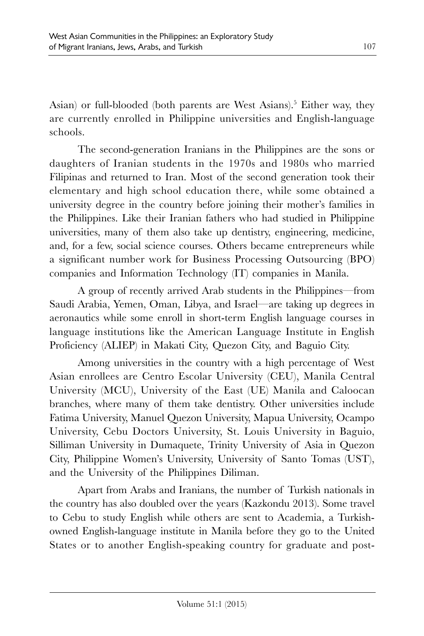Asian) or full-blooded (both parents are West Asians).<sup>5</sup> Either way, they are currently enrolled in Philippine universities and English-language schools.

The second-generation Iranians in the Philippines are the sons or daughters of Iranian students in the 1970s and 1980s who married Filipinas and returned to Iran. Most of the second generation took their elementary and high school education there, while some obtained a university degree in the country before joining their mother's families in the Philippines. Like their Iranian fathers who had studied in Philippine universities, many of them also take up dentistry, engineering, medicine, and, for a few, social science courses. Others became entrepreneurs while a significant number work for Business Processing Outsourcing (BPO) companies and Information Technology (IT) companies in Manila.

A group of recently arrived Arab students in the Philippines—from Saudi Arabia, Yemen, Oman, Libya, and Israel—are taking up degrees in aeronautics while some enroll in short-term English language courses in language institutions like the American Language Institute in English Proficiency (ALIEP) in Makati City, Quezon City, and Baguio City.

Among universities in the country with a high percentage of West Asian enrollees are Centro Escolar University (CEU), Manila Central University (MCU), University of the East (UE) Manila and Caloocan branches, where many of them take dentistry. Other universities include Fatima University, Manuel Quezon University, Mapua University, Ocampo University, Cebu Doctors University, St. Louis University in Baguio, Silliman University in Dumaquete, Trinity University of Asia in Quezon City, Philippine Women's University, University of Santo Tomas (UST), and the University of the Philippines Diliman.

Apart from Arabs and Iranians, the number of Turkish nationals in the country has also doubled over the years (Kazkondu 2013). Some travel to Cebu to study English while others are sent to Academia, a Turkishowned English-language institute in Manila before they go to the United States or to another English-speaking country for graduate and post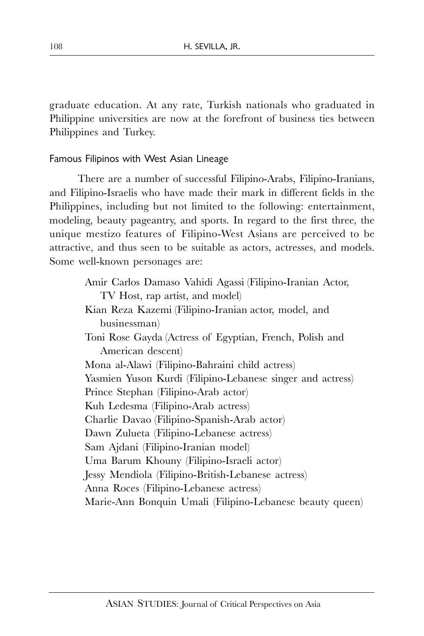graduate education. At any rate, Turkish nationals who graduated in Philippine universities are now at the forefront of business ties between Philippines and Turkey.

## Famous Filipinos with West Asian Lineage

There are a number of successful Filipino-Arabs, Filipino-Iranians, and Filipino-Israelis who have made their mark in different fields in the Philippines, including but not limited to the following: entertainment, modeling, beauty pageantry, and sports. In regard to the first three, the unique mestizo features of Filipino-West Asians are perceived to be attractive, and thus seen to be suitable as actors, actresses, and models. Some well-known personages are:

> Amir Carlos Damaso Vahidi Agassi (Filipino-Iranian Actor, TV Host, rap artist, and model) Kian Reza Kazemi (Filipino-Iranian actor, model, and businessman) Toni Rose Gayda (Actress of Egyptian, French, Polish and American descent) Mona al-Alawi (Filipino-Bahraini child actress) Yasmien Yuson Kurdi (Filipino-Lebanese singer and actress) Prince Stephan (Filipino-Arab actor) Kuh Ledesma (Filipino-Arab actress) Charlie Davao (Filipino-Spanish-Arab actor) Dawn Zulueta (Filipino-Lebanese actress) Sam Ajdani (Filipino-Iranian model) Uma Barum Khouny (Filipino-Israeli actor) Jessy Mendiola (Filipino-British-Lebanese actress) Anna Roces (Filipino-Lebanese actress) Marie-Ann Bonquin Umali (Filipino-Lebanese beauty queen)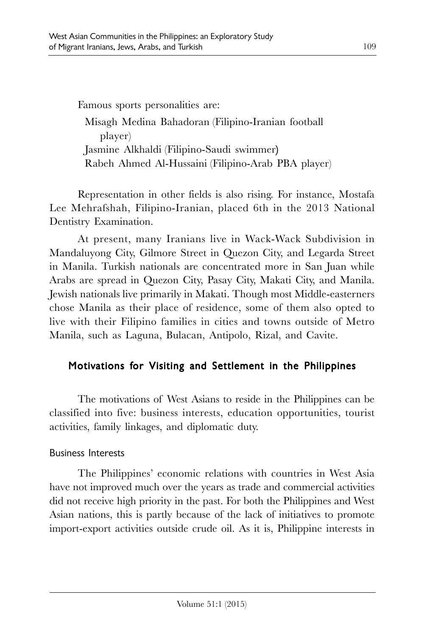Famous sports personalities are: Misagh Medina Bahadoran (Filipino-Iranian football player) Jasmine Alkhaldi (Filipino-Saudi swimmer) Rabeh Ahmed Al-Hussaini (Filipino-Arab PBA player)

Representation in other fields is also rising. For instance, Mostafa Lee Mehrafshah, Filipino-Iranian, placed 6th in the 2013 National Dentistry Examination.

At present, many Iranians live in Wack-Wack Subdivision in Mandaluyong City, Gilmore Street in Quezon City, and Legarda Street in Manila. Turkish nationals are concentrated more in San Juan while Arabs are spread in Quezon City, Pasay City, Makati City, and Manila. Jewish nationals live primarily in Makati. Though most Middle-easterners chose Manila as their place of residence, some of them also opted to live with their Filipino families in cities and towns outside of Metro Manila, such as Laguna, Bulacan, Antipolo, Rizal, and Cavite.

## Motivations for Visiting and Settlement in the Philippines

The motivations of West Asians to reside in the Philippines can be classified into five: business interests, education opportunities, tourist activities, family linkages, and diplomatic duty.

## Business Interests

The Philippines' economic relations with countries in West Asia have not improved much over the years as trade and commercial activities did not receive high priority in the past. For both the Philippines and West Asian nations, this is partly because of the lack of initiatives to promote import-export activities outside crude oil. As it is, Philippine interests in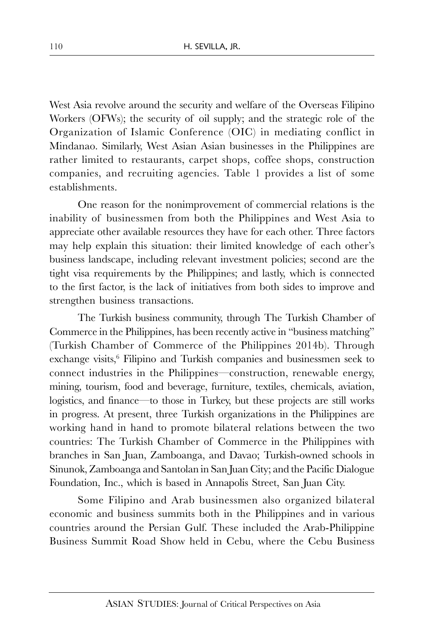West Asia revolve around the security and welfare of the Overseas Filipino Workers (OFWs); the security of oil supply; and the strategic role of the Organization of Islamic Conference (OIC) in mediating conflict in Mindanao. Similarly, West Asian Asian businesses in the Philippines are rather limited to restaurants, carpet shops, coffee shops, construction companies, and recruiting agencies. Table 1 provides a list of some establishments.

One reason for the nonimprovement of commercial relations is the inability of businessmen from both the Philippines and West Asia to appreciate other available resources they have for each other. Three factors may help explain this situation: their limited knowledge of each other's business landscape, including relevant investment policies; second are the tight visa requirements by the Philippines; and lastly, which is connected to the first factor, is the lack of initiatives from both sides to improve and strengthen business transactions.

The Turkish business community, through The Turkish Chamber of Commerce in the Philippines, has been recently active in "business matching" (Turkish Chamber of Commerce of the Philippines 2014b). Through exchange visits, 6 Filipino and Turkish companies and businessmen seek to connect industries in the Philippines—construction, renewable energy, mining, tourism, food and beverage, furniture, textiles, chemicals, aviation, logistics, and finance—to those in Turkey, but these projects are still works in progress. At present, three Turkish organizations in the Philippines are working hand in hand to promote bilateral relations between the two countries: The Turkish Chamber of Commerce in the Philippines with branches in San Juan, Zamboanga, and Davao; Turkish-owned schools in Sinunok, Zamboanga and Santolan in San Juan City; and the Pacific Dialogue Foundation, Inc., which is based in Annapolis Street, San Juan City.

Some Filipino and Arab businessmen also organized bilateral economic and business summits both in the Philippines and in various countries around the Persian Gulf. These included the Arab-Philippine Business Summit Road Show held in Cebu, where the Cebu Business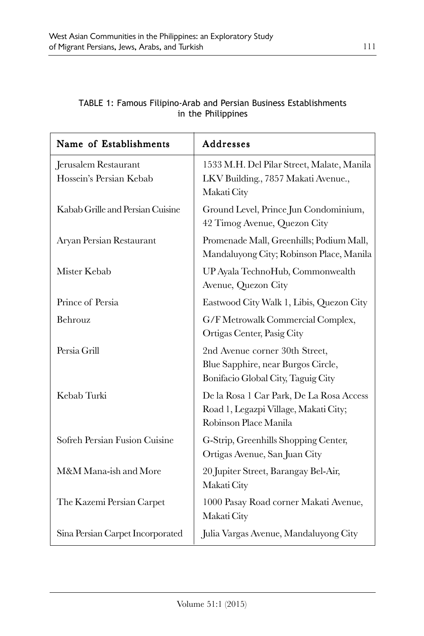| Name of Establishments                          | Addresses                                                                                                  |
|-------------------------------------------------|------------------------------------------------------------------------------------------------------------|
| Jerusalem Restaurant<br>Hossein's Persian Kebab | 1533 M.H. Del Pilar Street, Malate, Manila<br>LKV Building., 7857 Makati Avenue.,<br>Makati City           |
| Kabab Grille and Persian Cuisine                | Ground Level, Prince Jun Condominium,<br>42 Timog Avenue, Quezon City                                      |
| Aryan Persian Restaurant                        | Promenade Mall, Greenhills; Podium Mall,<br>Mandaluyong City; Robinson Place, Manila                       |
| Mister Kebab                                    | UP Ayala TechnoHub, Commonwealth<br>Avenue, Quezon City                                                    |
| Prince of Persia                                | Eastwood City Walk 1, Libis, Quezon City                                                                   |
| Behrouz                                         | G/F Metrowalk Commercial Complex,<br>Ortigas Center, Pasig City                                            |
| Persia Grill                                    | 2nd Avenue corner 30th Street,<br>Blue Sapphire, near Burgos Circle,<br>Bonifacio Global City, Taguig City |
| Kebab Turki                                     | De la Rosa 1 Car Park, De La Rosa Access<br>Road 1, Legazpi Village, Makati City;<br>Robinson Place Manila |
| Sofreh Persian Fusion Cuisine                   | G-Strip, Greenhills Shopping Center,<br>Ortigas Avenue, San Juan City                                      |
| M&M Mana-ish and More                           | 20 Jupiter Street, Barangay Bel-Air,<br>Makati City                                                        |
| The Kazemi Persian Carpet                       | 1000 Pasay Road corner Makati Avenue,<br>Makati City                                                       |
| Sina Persian Carpet Incorporated                | Julia Vargas Avenue, Mandaluyong City                                                                      |

## TABLE 1: Famous Filipino-Arab and Persian Business Establishments in the Philippines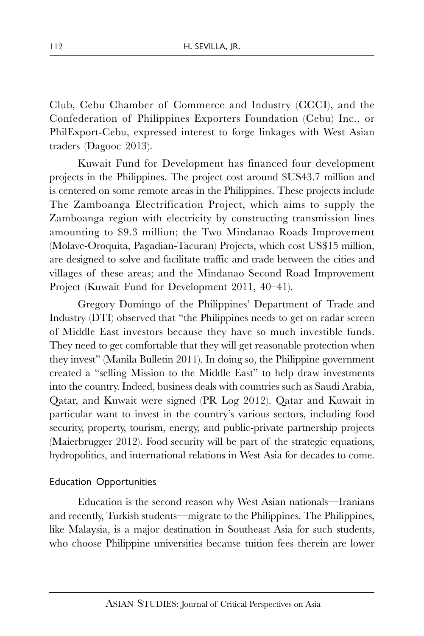Club, Cebu Chamber of Commerce and Industry (CCCI), and the Confederation of Philippines Exporters Foundation (Cebu) Inc., or PhilExport-Cebu, expressed interest to forge linkages with West Asian traders (Dagooc 2013).

Kuwait Fund for Development has financed four development projects in the Philippines. The project cost around \$US43.7 million and is centered on some remote areas in the Philippines. These projects include The Zamboanga Electrification Project, which aims to supply the Zamboanga region with electricity by constructing transmission lines amounting to \$9.3 million; the Two Mindanao Roads Improvement (Molave-Oroquita, Pagadian-Tacuran) Projects, which cost US\$15 million, are designed to solve and facilitate traffic and trade between the cities and villages of these areas; and the Mindanao Second Road Improvement Project (Kuwait Fund for Development 2011, 40–41).

Gregory Domingo of the Philippines' Department of Trade and Industry (DTI) observed that "the Philippines needs to get on radar screen of Middle East investors because they have so much investible funds. They need to get comfortable that they will get reasonable protection when they invest" (Manila Bulletin 2011). In doing so, the Philippine government created a "selling Mission to the Middle East" to help draw investments into the country. Indeed, business deals with countries such as Saudi Arabia, Qatar, and Kuwait were signed (PR Log 2012). Qatar and Kuwait in particular want to invest in the country's various sectors, including food security, property, tourism, energy, and public-private partnership projects (Maierbrugger 2012). Food security will be part of the strategic equations, hydropolitics, and international relations in West Asia for decades to come.

## Education Opportunities

Education is the second reason why West Asian nationals—Iranians and recently, Turkish students—migrate to the Philippines. The Philippines, like Malaysia, is a major destination in Southeast Asia for such students, who choose Philippine universities because tuition fees therein are lower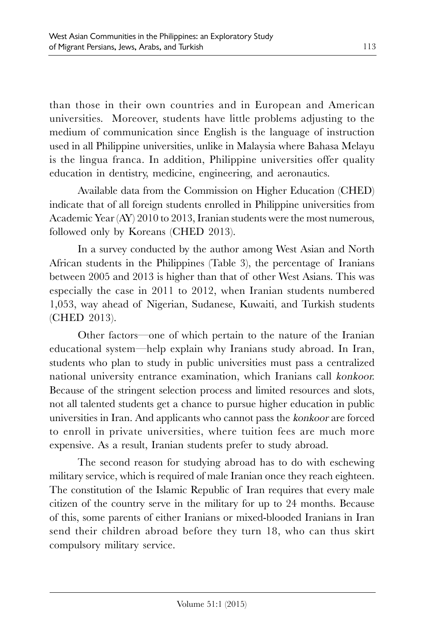than those in their own countries and in European and American universities. Moreover, students have little problems adjusting to the medium of communication since English is the language of instruction used in all Philippine universities, unlike in Malaysia where Bahasa Melayu is the lingua franca. In addition, Philippine universities offer quality education in dentistry, medicine, engineering, and aeronautics.

Available data from the Commission on Higher Education (CHED) indicate that of all foreign students enrolled in Philippine universities from Academic Year (AY) 2010 to 2013, Iranian students were the most numerous, followed only by Koreans (CHED 2013).

In a survey conducted by the author among West Asian and North African students in the Philippines (Table 3), the percentage of Iranians between 2005 and 2013 is higher than that of other West Asians. This was especially the case in 2011 to 2012, when Iranian students numbered 1,053, way ahead of Nigerian, Sudanese, Kuwaiti, and Turkish students (CHED 2013).

Other factors—one of which pertain to the nature of the Iranian educational system—help explain why Iranians study abroad. In Iran, students who plan to study in public universities must pass a centralized national university entrance examination, which Iranians call konkoor. Because of the stringent selection process and limited resources and slots, not all talented students get a chance to pursue higher education in public universities in Iran. And applicants who cannot pass the konkoor are forced to enroll in private universities, where tuition fees are much more expensive. As a result, Iranian students prefer to study abroad.

The second reason for studying abroad has to do with eschewing military service, which is required of male Iranian once they reach eighteen. The constitution of the Islamic Republic of Iran requires that every male citizen of the country serve in the military for up to 24 months. Because of this, some parents of either Iranians or mixed-blooded Iranians in Iran send their children abroad before they turn 18, who can thus skirt compulsory military service.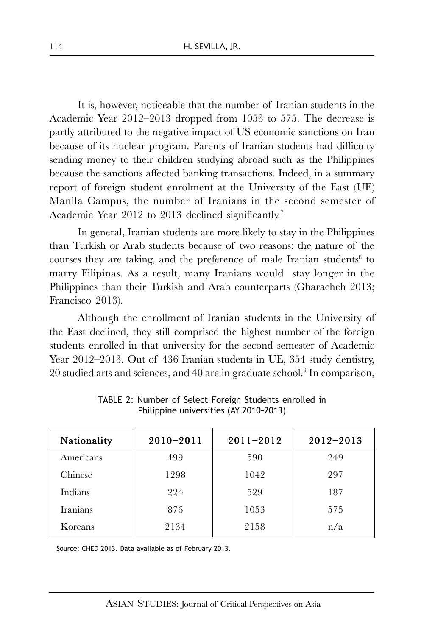It is, however, noticeable that the number of Iranian students in the Academic Year 2012–2013 dropped from 1053 to 575. The decrease is partly attributed to the negative impact of US economic sanctions on Iran because of its nuclear program. Parents of Iranian students had difficulty sending money to their children studying abroad such as the Philippines because the sanctions affected banking transactions. Indeed, in a summary report of foreign student enrolment at the University of the East (UE) Manila Campus, the number of Iranians in the second semester of Academic Year 2012 to 2013 declined significantly.<sup>7</sup>

In general, Iranian students are more likely to stay in the Philippines than Turkish or Arab students because of two reasons: the nature of the courses they are taking, and the preference of male Iranian students<sup>8</sup> to marry Filipinas. As a result, many Iranians would stay longer in the Philippines than their Turkish and Arab counterparts (Gharacheh 2013; Francisco 2013).

Although the enrollment of Iranian students in the University of the East declined, they still comprised the highest number of the foreign students enrolled in that university for the second semester of Academic Year 2012–2013. Out of 436 Iranian students in UE, 354 study dentistry, 20 studied arts and sciences, and 40 are in graduate school.<sup>9</sup> In comparison,

| Nationality | $2010 - 2011$ | $2011 - 2012$ | $2012 - 2013$ |
|-------------|---------------|---------------|---------------|
| Americans   | 499           | 590           | 249           |
| Chinese     | 1298          | 1042          | 297           |
| Indians     | 224           | 529           | 187           |
| Iranians    | 876           | 1053          | 575           |
| Koreans     | 2134          | 2158          | n/a           |

TABLE 2: Number of Select Foreign Students enrolled in Philippine universities (AY 2010**–**2013)

Source: CHED 2013. Data available as of February 2013.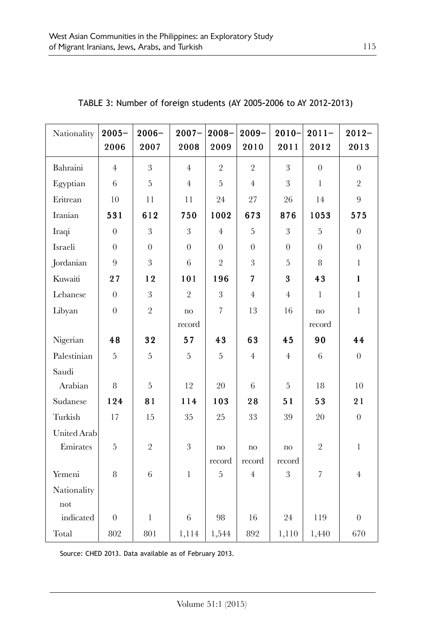| Nationality      | $2005 -$         | $2006 -$         | $2007 -$        | $2008 -$       | $2009 -$       | $2010 -$       | $2011 -$                 | $2012-$          |
|------------------|------------------|------------------|-----------------|----------------|----------------|----------------|--------------------------|------------------|
|                  | 2006             | 2007             | 2008            | 2009           | 2010           | 2011           | 2012                     | 2013             |
| Bahraini         | $\overline{4}$   | $\boldsymbol{3}$ | $\overline{4}$  | $\overline{2}$ | $\overline{2}$ | $\sqrt{3}$     | $\overline{0}$           | $\overline{0}$   |
| Egyptian         | 6                | 5                | $\overline{4}$  | 5              | $\overline{4}$ | 3              | $\mathbf{1}$             | $\sqrt{2}$       |
| Eritrean         | 10               | 11               | 11              | 24             | 27             | 26             | 14                       | $\boldsymbol{9}$ |
| Iranian          | 531              | 612              | 750             | 1002           | 673            | 876            | 1053                     | 575              |
| Iraqi            | $\overline{0}$   | 3                | 3               | $\overline{4}$ | 5              | $\mathfrak{Z}$ | 5                        | $\overline{0}$   |
| Israeli          | $\theta$         | $\theta$         | $\overline{0}$  | $\theta$       | $\overline{0}$ | $\overline{0}$ | $\theta$                 | $\boldsymbol{0}$ |
| Jordanian        | $\overline{9}$   | $\mathfrak{Z}$   | $6\phantom{.}6$ | $\sqrt{2}$     | $\mathfrak{Z}$ | $\overline{5}$ | $\, 8$                   | $\mathbf{1}$     |
| Kuwaiti          | 27               | 12               | 101             | 196            | 7              | 3              | 43                       | $\mathbf{1}$     |
| Lebanese         | $\overline{0}$   | 3                | $\overline{2}$  | 3              | $\overline{4}$ | $\overline{4}$ | $\mathbf{1}$             | $\,1$            |
| Libyan           | $\boldsymbol{0}$ | $\overline{2}$   | no              | $\overline{7}$ | 13             | 16             | $\mathbf{n}\mathbf{o}$   | $\mathbf{1}$     |
|                  |                  |                  | record          |                |                |                | record                   |                  |
| Nigerian         | 48               | 32               | 57              | 43             | 63             | 45             | 90                       | 44               |
| Palestinian      | 5                | $\overline{5}$   | $\mathbf 5$     | $\overline{5}$ | $\overline{4}$ | $\overline{4}$ | 6                        | $\boldsymbol{0}$ |
| Saudi            |                  |                  |                 |                |                |                |                          |                  |
| Arabian          | 8                | 5                | 12              | 20             | 6              | 5              | 18                       | 10               |
| Sudanese         | 124              | 81               | 114             | 103            | 28             | 51             | 53                       | 21               |
| Turkish          | 17               | 15               | 35              | 25             | 33             | 39             | 20                       | $\boldsymbol{0}$ |
| United Arab      |                  |                  |                 |                |                |                |                          |                  |
| Emirates         | $\overline{5}$   | $\overline{2}$   | $\sqrt{3}$      | no             | no             | no             | $\sqrt{2}$               | $\mathbf{1}$     |
|                  |                  |                  |                 | record         | record         | record         |                          |                  |
| Yemeni           | 8                | 6                | $\mathbf{1}$    | $\overline{5}$ | $\overline{4}$ | 3              | $\overline{\phantom{a}}$ | $\overline{4}$   |
| Nationality      |                  |                  |                 |                |                |                |                          |                  |
| not<br>indicated | $\overline{0}$   | $\mathbf{1}$     | $\overline{6}$  | 98             | 16             | 24             | 119                      | $\boldsymbol{0}$ |
|                  |                  |                  |                 |                |                |                |                          |                  |
| Total            | 802              | 801              | 1,114           | 1,544          | 892            | 1,110          | 1,440                    | 670              |

TABLE 3: Number of foreign students (AY 2005**–**2006 to AY 2012**–**2013)

Source: CHED 2013. Data available as of February 2013.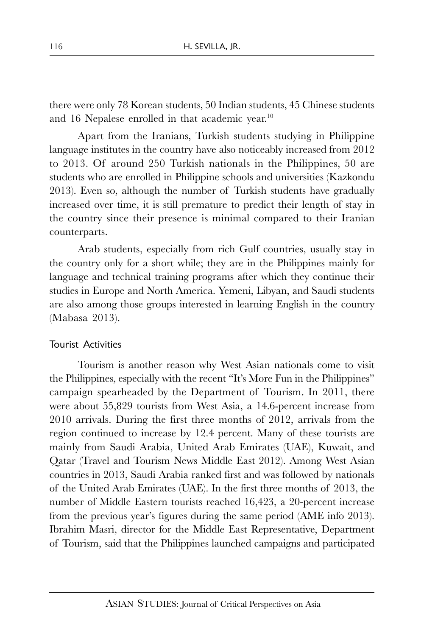there were only 78 Korean students, 50 Indian students, 45 Chinese students and 16 Nepalese enrolled in that academic year.<sup>10</sup>

Apart from the Iranians, Turkish students studying in Philippine language institutes in the country have also noticeably increased from 2012 to 2013. Of around 250 Turkish nationals in the Philippines, 50 are students who are enrolled in Philippine schools and universities (Kazkondu 2013). Even so, although the number of Turkish students have gradually increased over time, it is still premature to predict their length of stay in the country since their presence is minimal compared to their Iranian counterparts.

Arab students, especially from rich Gulf countries, usually stay in the country only for a short while; they are in the Philippines mainly for language and technical training programs after which they continue their studies in Europe and North America. Yemeni, Libyan, and Saudi students are also among those groups interested in learning English in the country (Mabasa 2013).

### Tourist Activities

Tourism is another reason why West Asian nationals come to visit the Philippines, especially with the recent "It's More Fun in the Philippines" campaign spearheaded by the Department of Tourism. In 2011, there were about 55,829 tourists from West Asia, a 14.6-percent increase from 2010 arrivals. During the first three months of 2012, arrivals from the region continued to increase by 12.4 percent. Many of these tourists are mainly from Saudi Arabia, United Arab Emirates (UAE), Kuwait, and Qatar (Travel and Tourism News Middle East 2012). Among West Asian countries in 2013, Saudi Arabia ranked first and was followed by nationals of the United Arab Emirates (UAE). In the first three months of 2013, the number of Middle Eastern tourists reached 16,423, a 20-percent increase from the previous year's figures during the same period (AME info 2013). Ibrahim Masri, director for the Middle East Representative, Department of Tourism, said that the Philippines launched campaigns and participated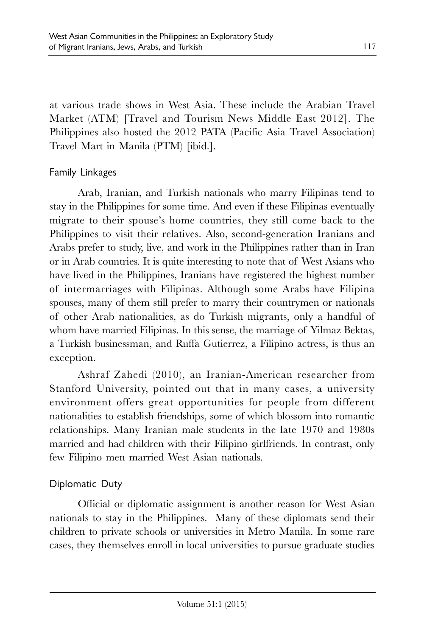at various trade shows in West Asia. These include the Arabian Travel Market (ATM) [Travel and Tourism News Middle East 2012]. The Philippines also hosted the 2012 PATA (Pacific Asia Travel Association) Travel Mart in Manila (PTM) [ibid.].

## Family Linkages

Arab, Iranian, and Turkish nationals who marry Filipinas tend to stay in the Philippines for some time. And even if these Filipinas eventually migrate to their spouse's home countries, they still come back to the Philippines to visit their relatives. Also, second-generation Iranians and Arabs prefer to study, live, and work in the Philippines rather than in Iran or in Arab countries. It is quite interesting to note that of West Asians who have lived in the Philippines, Iranians have registered the highest number of intermarriages with Filipinas. Although some Arabs have Filipina spouses, many of them still prefer to marry their countrymen or nationals of other Arab nationalities, as do Turkish migrants, only a handful of whom have married Filipinas. In this sense, the marriage of Yilmaz Bektas, a Turkish businessman, and Ruffa Gutierrez, a Filipino actress, is thus an exception.

Ashraf Zahedi (2010), an Iranian-American researcher from Stanford University, pointed out that in many cases, a university environment offers great opportunities for people from different nationalities to establish friendships, some of which blossom into romantic relationships. Many Iranian male students in the late 1970 and 1980s married and had children with their Filipino girlfriends. In contrast, only few Filipino men married West Asian nationals.

# Diplomatic Duty

Official or diplomatic assignment is another reason for West Asian nationals to stay in the Philippines. Many of these diplomats send their children to private schools or universities in Metro Manila. In some rare cases, they themselves enroll in local universities to pursue graduate studies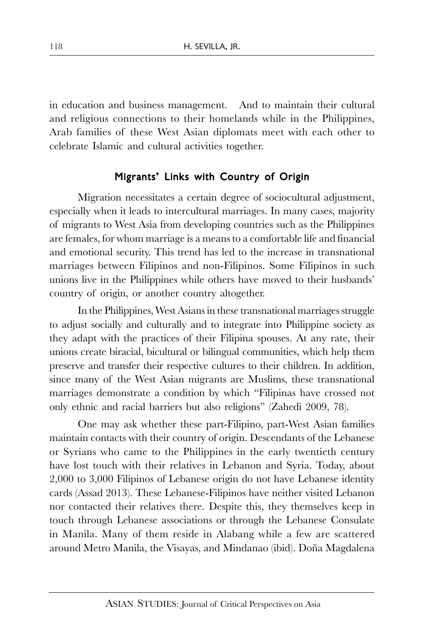in education and business management. And to maintain their cultural and religious connections to their homelands while in the Philippines, Arab families of these West Asian diplomats meet with each other to celebrate Islamic and cultural activities together.

## Migrants' Links with Country of Origin

Migration necessitates a certain degree of sociocultural adjustment, especially when it leads to intercultural marriages. In many cases, majority of migrants to West Asia from developing countries such as the Philippines are females, for whom marriage is a means to a comfortable life and financial and emotional security. This trend has led to the increase in transnational marriages between Filipinos and non-Filipinos. Some Filipinos in such unions live in the Philippines while others have moved to their husbands' country of origin, or another country altogether.

In the Philippines, West Asians in these transnational marriages struggle to adjust socially and culturally and to integrate into Philippine society as they adapt with the practices of their Filipina spouses. At any rate, their unions create biracial, bicultural or bilingual communities, which help them preserve and transfer their respective cultures to their children. In addition, since many of the West Asian migrants are Muslims, these transnational marriages demonstrate a condition by which "Filipinas have crossed not only ethnic and racial barriers but also religions" (Zahedi 2009, 78).

One may ask whether these part-Filipino, part-West Asian families maintain contacts with their country of origin. Descendants of the Lebanese or Syrians who came to the Philippines in the early twentieth century have lost touch with their relatives in Lebanon and Syria. Today, about 2,000 to 3,000 Filipinos of Lebanese origin do not have Lebanese identity cards (Assad 2013). These Lebanese-Filipinos have neither visited Lebanon nor contacted their relatives there. Despite this, they themselves keep in touch through Lebanese associations or through the Lebanese Consulate in Manila. Many of them reside in Alabang while a few are scattered around Metro Manila, the Visayas, and Mindanao (ibid). Doña Magdalena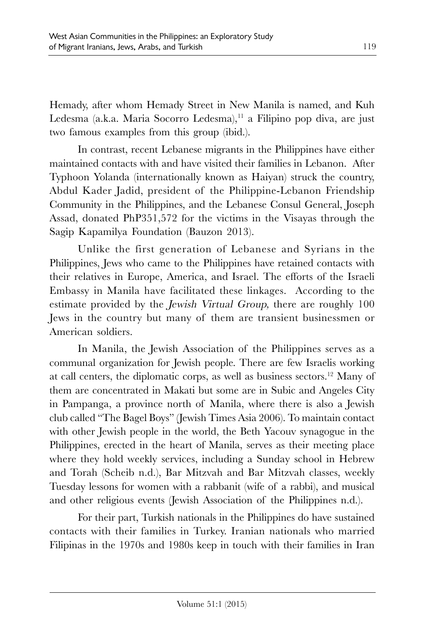Hemady, after whom Hemady Street in New Manila is named, and Kuh Ledesma (a.k.a. Maria Socorro Ledesma),<sup>11</sup> a Filipino pop diva, are just two famous examples from this group (ibid.).

In contrast, recent Lebanese migrants in the Philippines have either maintained contacts with and have visited their families in Lebanon. After Typhoon Yolanda (internationally known as Haiyan) struck the country, Abdul Kader Jadid, president of the Philippine-Lebanon Friendship Community in the Philippines, and the Lebanese Consul General, Joseph Assad, donated PhP351,572 for the victims in the Visayas through the Sagip Kapamilya Foundation (Bauzon 2013).

Unlike the first generation of Lebanese and Syrians in the Philippines, Jews who came to the Philippines have retained contacts with their relatives in Europe, America, and Israel. The efforts of the Israeli Embassy in Manila have facilitated these linkages. According to the estimate provided by the Jewish Virtual Group, there are roughly 100 Jews in the country but many of them are transient businessmen or American soldiers.

In Manila, the Jewish Association of the Philippines serves as a communal organization for Jewish people. There are few Israelis working at call centers, the diplomatic corps, as well as business sectors.<sup>12</sup> Many of them are concentrated in Makati but some are in Subic and Angeles City in Pampanga, a province north of Manila, where there is also a Jewish club called "The Bagel Boys" (Jewish Times Asia 2006). To maintain contact with other Jewish people in the world, the Beth Yacouv synagogue in the Philippines, erected in the heart of Manila, serves as their meeting place where they hold weekly services, including a Sunday school in Hebrew and Torah (Scheib n.d.), Bar Mitzvah and Bar Mitzvah classes, weekly Tuesday lessons for women with a rabbanit (wife of a rabbi), and musical and other religious events (Jewish Association of the Philippines n.d.).

For their part, Turkish nationals in the Philippines do have sustained contacts with their families in Turkey. Iranian nationals who married Filipinas in the 1970s and 1980s keep in touch with their families in Iran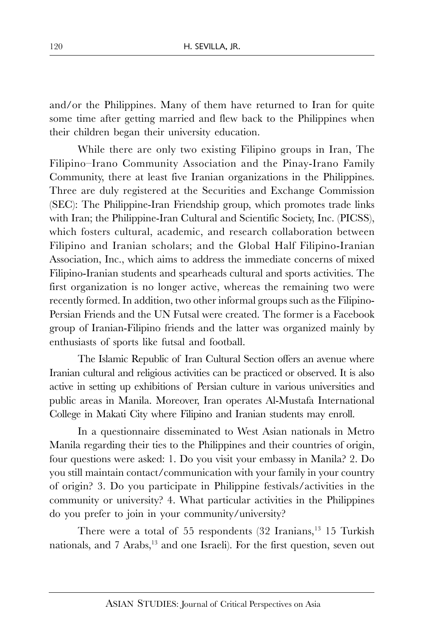and/or the Philippines. Many of them have returned to Iran for quite some time after getting married and flew back to the Philippines when their children began their university education.

While there are only two existing Filipino groups in Iran, The Filipino–Irano Community Association and the Pinay-Irano Family Community, there at least five Iranian organizations in the Philippines. Three are duly registered at the Securities and Exchange Commission (SEC): The Philippine-Iran Friendship group, which promotes trade links with Iran; the Philippine-Iran Cultural and Scientific Society, Inc. (PICSS), which fosters cultural, academic, and research collaboration between Filipino and Iranian scholars; and the Global Half Filipino-Iranian Association, Inc., which aims to address the immediate concerns of mixed Filipino-Iranian students and spearheads cultural and sports activities. The first organization is no longer active, whereas the remaining two were recently formed. In addition, two other informal groups such as the Filipino-Persian Friends and the UN Futsal were created. The former is a Facebook group of Iranian-Filipino friends and the latter was organized mainly by enthusiasts of sports like futsal and football.

The Islamic Republic of Iran Cultural Section offers an avenue where Iranian cultural and religious activities can be practiced or observed. It is also active in setting up exhibitions of Persian culture in various universities and public areas in Manila. Moreover, Iran operates Al-Mustafa International College in Makati City where Filipino and Iranian students may enroll.

In a questionnaire disseminated to West Asian nationals in Metro Manila regarding their ties to the Philippines and their countries of origin, four questions were asked: 1. Do you visit your embassy in Manila? 2. Do you still maintain contact/communication with your family in your country of origin? 3. Do you participate in Philippine festivals/activities in the community or university? 4. What particular activities in the Philippines do you prefer to join in your community/university?

There were a total of 55 respondents (32 Iranians, <sup>13</sup> 15 Turkish nationals, and 7 Arabs, <sup>13</sup> and one Israeli). For the first question, seven out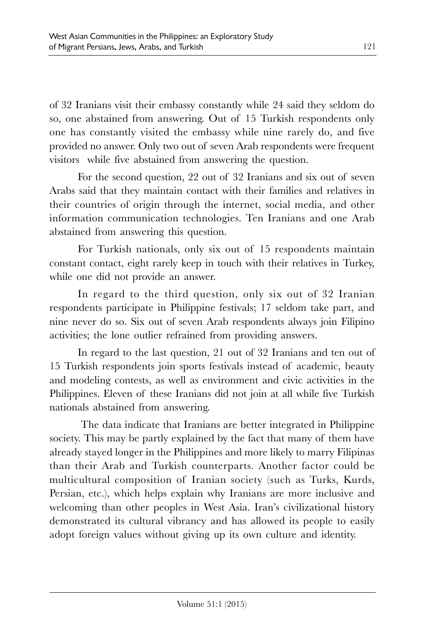of 32 Iranians visit their embassy constantly while 24 said they seldom do so, one abstained from answering. Out of 15 Turkish respondents only one has constantly visited the embassy while nine rarely do, and five provided no answer. Only two out of seven Arab respondents were frequent visitors while five abstained from answering the question.

For the second question, 22 out of 32 Iranians and six out of seven Arabs said that they maintain contact with their families and relatives in their countries of origin through the internet, social media, and other information communication technologies. Ten Iranians and one Arab abstained from answering this question.

For Turkish nationals, only six out of 15 respondents maintain constant contact, eight rarely keep in touch with their relatives in Turkey, while one did not provide an answer.

In regard to the third question, only six out of 32 Iranian respondents participate in Philippine festivals; 17 seldom take part, and nine never do so. Six out of seven Arab respondents always join Filipino activities; the lone outlier refrained from providing answers.

In regard to the last question, 21 out of 32 Iranians and ten out of 15 Turkish respondents join sports festivals instead of academic, beauty and modeling contests, as well as environment and civic activities in the Philippines. Eleven of these Iranians did not join at all while five Turkish nationals abstained from answering.

 The data indicate that Iranians are better integrated in Philippine society. This may be partly explained by the fact that many of them have already stayed longer in the Philippines and more likely to marry Filipinas than their Arab and Turkish counterparts. Another factor could be multicultural composition of Iranian society (such as Turks, Kurds, Persian, etc.), which helps explain why Iranians are more inclusive and welcoming than other peoples in West Asia. Iran's civilizational history demonstrated its cultural vibrancy and has allowed its people to easily adopt foreign values without giving up its own culture and identity.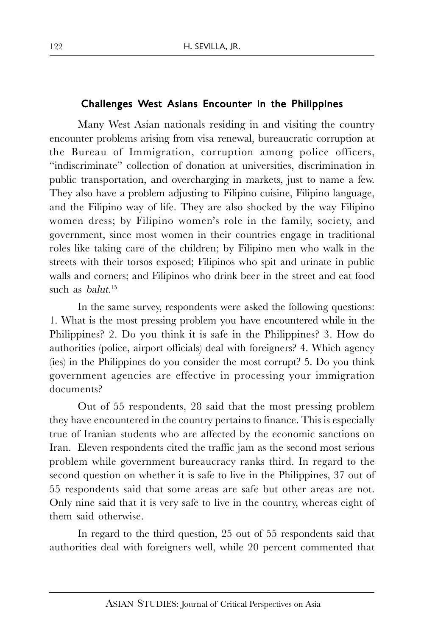## Challenges West Asians Encounter in the Philippines

Many West Asian nationals residing in and visiting the country encounter problems arising from visa renewal, bureaucratic corruption at the Bureau of Immigration, corruption among police officers, "indiscriminate" collection of donation at universities, discrimination in public transportation, and overcharging in markets, just to name a few. They also have a problem adjusting to Filipino cuisine, Filipino language, and the Filipino way of life. They are also shocked by the way Filipino women dress; by Filipino women's role in the family, society, and government, since most women in their countries engage in traditional roles like taking care of the children; by Filipino men who walk in the streets with their torsos exposed; Filipinos who spit and urinate in public walls and corners; and Filipinos who drink beer in the street and eat food such as *balut*.<sup>15</sup>

In the same survey, respondents were asked the following questions: 1. What is the most pressing problem you have encountered while in the Philippines? 2. Do you think it is safe in the Philippines? 3. How do authorities (police, airport officials) deal with foreigners? 4. Which agency (ies) in the Philippines do you consider the most corrupt? 5. Do you think government agencies are effective in processing your immigration documents?

Out of 55 respondents, 28 said that the most pressing problem they have encountered in the country pertains to finance. This is especially true of Iranian students who are affected by the economic sanctions on Iran. Eleven respondents cited the traffic jam as the second most serious problem while government bureaucracy ranks third. In regard to the second question on whether it is safe to live in the Philippines, 37 out of 55 respondents said that some areas are safe but other areas are not. Only nine said that it is very safe to live in the country, whereas eight of them said otherwise.

In regard to the third question, 25 out of 55 respondents said that authorities deal with foreigners well, while 20 percent commented that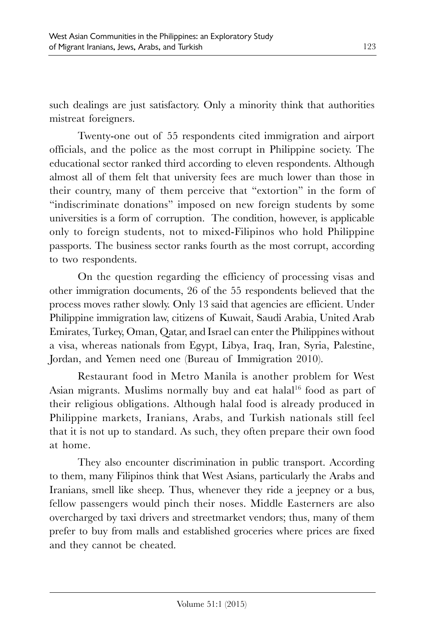such dealings are just satisfactory. Only a minority think that authorities mistreat foreigners.

Twenty-one out of 55 respondents cited immigration and airport officials, and the police as the most corrupt in Philippine society. The educational sector ranked third according to eleven respondents. Although almost all of them felt that university fees are much lower than those in their country, many of them perceive that "extortion" in the form of "indiscriminate donations" imposed on new foreign students by some universities is a form of corruption. The condition, however, is applicable only to foreign students, not to mixed-Filipinos who hold Philippine passports. The business sector ranks fourth as the most corrupt, according to two respondents.

On the question regarding the efficiency of processing visas and other immigration documents, 26 of the 55 respondents believed that the process moves rather slowly. Only 13 said that agencies are efficient. Under Philippine immigration law, citizens of Kuwait, Saudi Arabia, United Arab Emirates, Turkey, Oman, Qatar, and Israel can enter the Philippines without a visa, whereas nationals from Egypt, Libya, Iraq, Iran, Syria, Palestine, Jordan, and Yemen need one (Bureau of Immigration 2010).

Restaurant food in Metro Manila is another problem for West Asian migrants. Muslims normally buy and eat halal<sup>16</sup> food as part of their religious obligations. Although halal food is already produced in Philippine markets, Iranians, Arabs, and Turkish nationals still feel that it is not up to standard. As such, they often prepare their own food at home.

They also encounter discrimination in public transport. According to them, many Filipinos think that West Asians, particularly the Arabs and Iranians, smell like sheep. Thus, whenever they ride a jeepney or a bus, fellow passengers would pinch their noses. Middle Easterners are also overcharged by taxi drivers and streetmarket vendors; thus, many of them prefer to buy from malls and established groceries where prices are fixed and they cannot be cheated.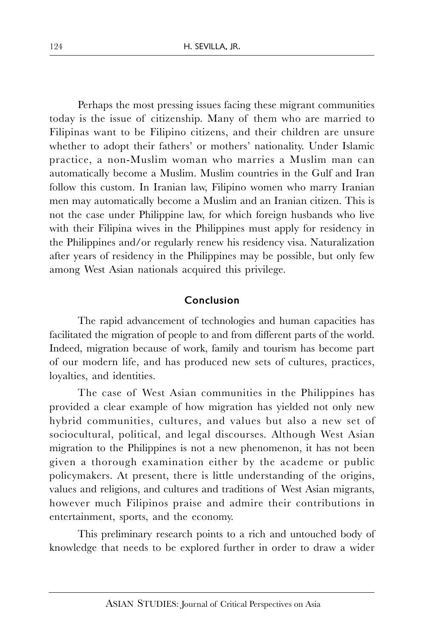Perhaps the most pressing issues facing these migrant communities today is the issue of citizenship. Many of them who are married to Filipinas want to be Filipino citizens, and their children are unsure whether to adopt their fathers' or mothers' nationality. Under Islamic practice, a non-Muslim woman who marries a Muslim man can automatically become a Muslim. Muslim countries in the Gulf and Iran follow this custom. In Iranian law, Filipino women who marry Iranian men may automatically become a Muslim and an Iranian citizen. This is not the case under Philippine law, for which foreign husbands who live with their Filipina wives in the Philippines must apply for residency in the Philippines and/or regularly renew his residency visa. Naturalization after years of residency in the Philippines may be possible, but only few among West Asian nationals acquired this privilege.

## Conclusion

The rapid advancement of technologies and human capacities has facilitated the migration of people to and from different parts of the world. Indeed, migration because of work, family and tourism has become part of our modern life, and has produced new sets of cultures, practices, loyalties, and identities.

The case of West Asian communities in the Philippines has provided a clear example of how migration has yielded not only new hybrid communities, cultures, and values but also a new set of sociocultural, political, and legal discourses. Although West Asian migration to the Philippines is not a new phenomenon, it has not been given a thorough examination either by the academe or public policymakers. At present, there is little understanding of the origins, values and religions, and cultures and traditions of West Asian migrants, however much Filipinos praise and admire their contributions in entertainment, sports, and the economy.

This preliminary research points to a rich and untouched body of knowledge that needs to be explored further in order to draw a wider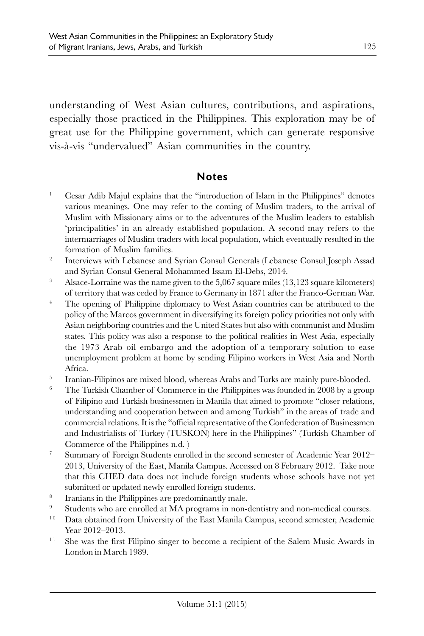understanding of West Asian cultures, contributions, and aspirations, especially those practiced in the Philippines. This exploration may be of great use for the Philippine government, which can generate responsive vis-à-vis "undervalued" Asian communities in the country.

## Notes

- <sup>1</sup> Cesar Adib Majul explains that the "introduction of Islam in the Philippines" denotes various meanings. One may refer to the coming of Muslim traders, to the arrival of Muslim with Missionary aims or to the adventures of the Muslim leaders to establish 'principalities' in an already established population. A second may refers to the intermarriages of Muslim traders with local population, which eventually resulted in the formation of Muslim families.
- 2 Interviews with Lebanese and Syrian Consul Generals (Lebanese Consul Joseph Assad and Syrian Consul General Mohammed Issam El-Debs, 2014.
- <sup>3</sup> Alsace-Lorraine was the name given to the 5,067 square miles (13,123 square kilometers) of territory that was ceded by France to Germany in 1871 after the Franco-German War.
- <sup>4</sup> The opening of Philippine diplomacy to West Asian countries can be attributed to the policy of the Marcos government in diversifying its foreign policy priorities not only with Asian neighboring countries and the United States but also with communist and Muslim states. This policy was also a response to the political realities in West Asia, especially the 1973 Arab oil embargo and the adoption of a temporary solution to ease unemployment problem at home by sending Filipino workers in West Asia and North Africa.
- 5 Iranian-Filipinos are mixed blood, whereas Arabs and Turks are mainly pure-blooded.
- $6$  The Turkish Chamber of Commerce in the Philippines was founded in 2008 by a group of Filipino and Turkish businessmen in Manila that aimed to promote "closer relations, understanding and cooperation between and among Turkish" in the areas of trade and commercial relations. It is the "official representative of the Confederation of Businessmen and Industrialists of Turkey (TUSKON) here in the Philippines" (Turkish Chamber of Commerce of the Philippines n.d. )
- <sup>7</sup> Summary of Foreign Students enrolled in the second semester of Academic Year 2012– 2013, University of the East, Manila Campus. Accessed on 8 February 2012. Take note that this CHED data does not include foreign students whose schools have not yet submitted or updated newly enrolled foreign students.
- 8 Iranians in the Philippines are predominantly male.
- <sup>9</sup> Students who are enrolled at MA programs in non-dentistry and non-medical courses.<br><sup>10</sup> Deta obtained from University of the East Mapile Compute second semester. Accdemic
- Data obtained from University of the East Manila Campus, second semester, Academic Year 2012–2013.
- $11$  She was the first Filipino singer to become a recipient of the Salem Music Awards in London in March 1989.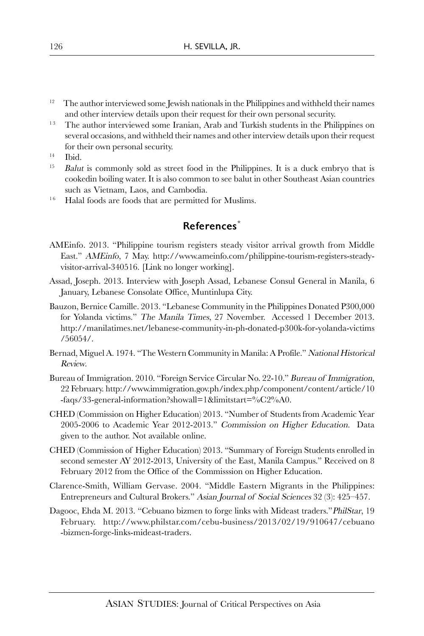- 12 The author interviewed some Jewish nationals in the Philippines and withheld their names and other interview details upon their request for their own personal security.
- <sup>13</sup> The author interviewed some Iranian, Arab and Turkish students in the Philippines on several occasions, and withheld their names and other interview details upon their request for their own personal security.
- $14$  Ibid.
- 15 Balut is commonly sold as street food in the Philippines. It is a duck embryo that is cookedin boiling water. It is also common to see balut in other Southeast Asian countries such as Vietnam, Laos, and Cambodia.
- <sup>16</sup> Halal foods are foods that are permitted for Muslims.

### References<sup>\*</sup>

- AMEinfo. 2013. "Philippine tourism registers steady visitor arrival growth from Middle East." AMEinfo, 7 May. http://www.ameinfo.com/philippine-tourism-registers-steadyvisitor-arrival-340516. [Link no longer working].
- Assad, Joseph. 2013. Interview with Joseph Assad, Lebanese Consul General in Manila, 6 January, Lebanese Consolate Office, Muntinlupa City.
- Bauzon, Bernice Camille. 2013. "Lebanese Community in the Philippines Donated P300,000 for Yolanda victims." The Manila Times, 27 November. Accessed 1 December 2013. http://manilatimes.net/lebanese-community-in-ph-donated-p300k-for-yolanda-victims /56054/.
- Bernad, Miguel A. 1974. "The Western Community in Manila: A Profile." National Historical Review.
- Bureau of Immigration. 2010. "Foreign Service Circular No. 22-10." Bureau of Immigration, 22 February. http://www.immigration.gov.ph/index.php/component/content/article/10 -faqs/33-general-information?showall=1&limitstart=%C2%A0.
- CHED (Commission on Higher Education) 2013. "Number of Students from Academic Year 2005-2006 to Academic Year 2012-2013." Commission on Higher Education. Data given to the author. Not available online.
- CHED (Commission of Higher Education) 2013. "Summary of Foreign Students enrolled in second semester AY 2012-2013, University of the East, Manila Campus." Received on 8 February 2012 from the Office of the Commisssion on Higher Education.
- Clarence-Smith, William Gervase. 2004. "Middle Eastern Migrants in the Philippines: Entrepreneurs and Cultural Brokers." Asian Journal of Social Sciences 32 (3): 425–457.
- Dagooc, Ehda M. 2013. "Cebuano bizmen to forge links with Mideast traders."PhilStar, 19 February. http://www.philstar.com/cebu-business/2013/02/19/910647/cebuano -bizmen-forge-links-mideast-traders.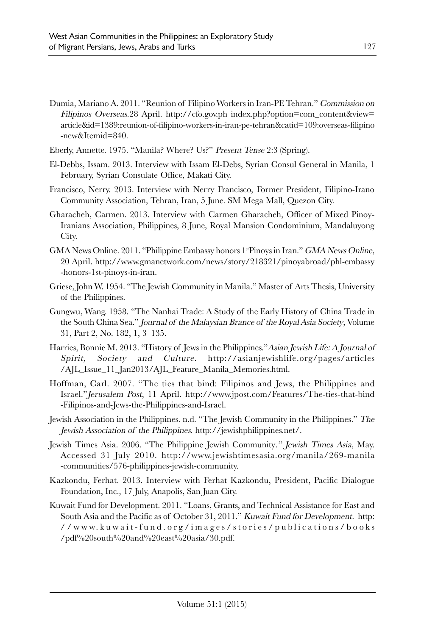- Dumia, Mariano A. 2011. "Reunion of Filipino Workers in Iran-PE Tehran." Commission on Filipinos Overseas.28 April. http://cfo.gov.ph index.php?option=com\_content&view= article&id=1389:reunion-of-filipino-workers-in-iran-pe-tehran&catid=109:overseas-filipino -new&Itemid=840.
- Eberly, Annette. 1975. "Manila? Where? Us?" Present Tense 2:3 (Spring).
- El-Debbs, Issam. 2013. Interview with Issam El-Debs, Syrian Consul General in Manila, 1 February, Syrian Consulate Office, Makati City.
- Francisco, Nerry. 2013. Interview with Nerry Francisco, Former President, Filipino-Irano Community Association, Tehran, Iran, 5 June. SM Mega Mall, Quezon City.
- Gharacheh, Carmen. 2013. Interview with Carmen Gharacheh, Officer of Mixed Pinoy-Iranians Association, Philippines, 8 June, Royal Mansion Condominium, Mandaluyong City.
- GMA News Online. 2011. "Philippine Embassy honors 1<sup>st</sup>Pinoys in Iran." GMA News Online, 20 April. http://www.gmanetwork.com/news/story/218321/pinoyabroad/phl-embassy -honors-1st-pinoys-in-iran.
- Griese, John W. 1954. "The Jewish Community in Manila." Master of Arts Thesis, University of the Philippines.
- Gungwu, Wang. 1958. "The Nanhai Trade: A Study of the Early History of China Trade in the South China Sea." Journal of the Malaysian Brance of the Royal Asia Society, Volume 31, Part 2, No. 182, 1, 3–135.
- Harries, Bonnie M. 2013. "History of Jews in the Philippines."Asian Jewish Life: A Journal of Spirit, Society and Culture. http://asianjewishlife.org/pages/articles /AJL\_Issue\_11\_Jan2013/AJL\_Feature\_Manila\_Memories.html.
- Hoffman, Carl. 2007. "The ties that bind: Filipinos and Jews, the Philippines and Israel."Jerusalem Post, 11 April. http://www.jpost.com/Features/The-ties-that-bind -Filipinos-and-Jews-the-Philippines-and-Israel.
- Jewish Association in the Philippines. n.d. "The Jewish Community in the Philippines." The Jewish Association of the Philippines. http://jewishphilippines.net/.
- Jewish Times Asia. 2006. "The Philippine Jewish Community." Jewish Times Asia, May. Accessed 31 July 2010. http://www.jewishtimesasia.org/manila/269-manila -communities/576-philippines-jewish-community.
- Kazkondu, Ferhat. 2013. Interview with Ferhat Kazkondu, President, Pacific Dialogue Foundation, Inc., 17 July, Anapolis, San Juan City.
- Kuwait Fund for Development. 2011. "Loans, Grants, and Technical Assistance for East and South Asia and the Pacific as of October 31, 2011." Kuwait Fund for Development. http: //www.kuw ait-fund.or g/ima g es/stories/pub lica tions/books /pdf%20south%20and%20east%20asia/30.pdf.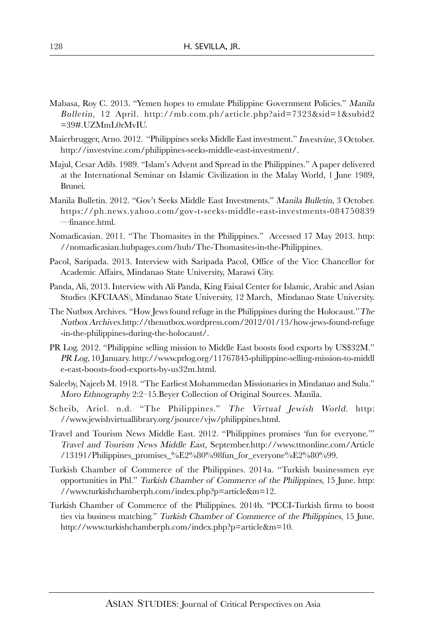- Mabasa, Roy C. 2013. "Yemen hopes to emulate Philippine Government Policies." Manila Bulletin, 12 April. http://mb.com.ph/article.php?aid=7323&sid=1&subid2 =39#.UZMmL0rMvIU.
- Maierbrugger, Arno. 2012. "Philippines seeks Middle East investment." Investvine, 3 October. http://investvine.com/philippines-seeks-middle-east-investment/.
- Majul, Cesar Adib. 1989. "Islam's Advent and Spread in the Philippines." A paper delivered at the International Seminar on Islamic Civilization in the Malay World, 1 June 1989, Brunei.
- Manila Bulletin. 2012. "Gov't Seeks Middle East Investments." Manila Bulletin, 3 October. https://ph.news.yahoo.com/gov-t-seeks-middle-east-investments-084750839 —finance.html.
- Nomadicasian. 2011. "The Thomasites in the Philippines." Accessed 17 May 2013. http: //nomadicasian.hubpages.com/hub/The-Thomasites-in-the-Philippines.
- Pacol, Saripada. 2013. Interview with Saripada Pacol, Office of the Vice Chancellor for Academic Affairs, Mindanao State University, Marawi City.
- Panda, Ali, 2013. Interview with Ali Panda, King Faisal Center for Islamic, Arabic and Asian Studies (KFCIAAS), Mindanao State University, 12 March, Mindanao State University.
- The Nutbox Archives. "How Jews found refuge in the Philippines during the Holocaust."The Nutbox Archives.http://thenutbox.wordpress.com/2012/01/13/how-jews-found-refuge -in-the-philippines-during-the-holocaust/.
- PR Log. 2012. "Philippine selling mission to Middle East boosts food exports by US\$32M." PR Log, 10 January. http://www.prlog.org/11767845-philippine-selling-mission-to-middl e-east-boosts-food-exports-by-us32m.html.
- Saleeby, Najeeb M. 1918. "The Earliest Mohammedan Missionaries in Mindanao and Sulu." Moro Ethnography 2:2–15.Beyer Collection of Original Sources. Manila.
- Scheib, Ariel. n.d. "The Philippines." The Virtual Jewish World. http: //www.jewishvirtuallibrary.org/jsource/vjw/philippines.html.
- Travel and Tourism News Middle East. 2012. "Philippines promises 'fun for everyone.'" Travel and Tourism News Middle East, September.http://www.ttnonline.com/Article /13191/Philippines\_promises\_%E2%80%98fun\_for\_everyone%E2%80%99.
- Turkish Chamber of Commerce of the Philippines. 2014a. "Turkish businessmen eye opportunities in Phl." Turkish Chamber of Commerce of the Philippines, 15 June. http: //www.turkishchamberph.com/index.php?p=article&m=12.
- Turkish Chamber of Commerce of the Philippines. 2014b. "PCCI-Turkish firms to boost ties via business matching." Turkish Chamber of Commerce of the Philippines, 15 June. http://www.turkishchamberph.com/index.php?p=article&m=10.